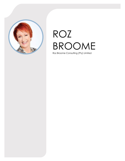

# ROZ BROOME

Roz Broome Consulting (Pty) Limited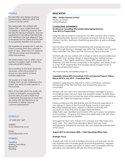# **PROFILE**

Roz identifies and designs business transformation initiatives within the Contact Centre arena.

Roz, personally, has worked with Global OSP's and understands the complexity in offshoring business and the risks this decision presents. She has experience in travelling internationally and assisting in the due diligence that is necessary for the Client and the OSP to successfully transition the business.

Her experience enables her to see the Client's business from the customer's point of view. Often this is at variance with the processes and procedures within the business.

Her latest project was to assist a local business to position itself to enter the International BPO Market.

She is sensitive to the team dynamics necessary within the business to ensure success and to achieve business objectives.

Her passion is to help create a strategy that can be understood and makes real sense to every person in the business.

Roz is at her best when she works with a team of energetic young people and her skill is to build a team that understands the purpose of what they are doing with the freedom to be innovative to deliver beyond customer expectations.

## **CONTACT**

+27 (0)82 602 1363

WEBSITE: www.rozbroome.co.za

EMAIL: roz@rozbroome.co.za

## **HOBBIES**

**Travelling** Walking and Hiking Beadwork Reading

## **EDUCATION**

**MBA – Henley Business School** Henley-on-Arden United Kingdom

#### **CONSULTING EXPERIENCE Roz Broome Consulting (Pty) Limited (Managing Director) June 2015 to Present Date**

Using the skills acquired in running her own BPO company Roz worked with Global Business Services Companies and South African in-house Contact Centers, assisting in streamlining operations as well as strategic planning.

She has been instrumental in transitioning new business into South Africa through playing a strategic role within the Transition team and as liaison between the Client and the Outsourced Service Provider.

Domestically she has worked with a range of clients and provided input that varied from strategy design to streamlining the existing business operations. The Clients varied from Global BPO players such as Webhelp and WNS to local companies in the logistics and Medical Aid to a Non-Profit Organization that enables disadvantaged Youth to enter the employment arena.

The most recently completed project is:

#### **Capability Global BPO (Consultant, COO and Special Projects Officer March 2018 to July 2019 – Consultant Role**

Assisted in preparing the response to USA e-commerce company. Formed part of the Site Visit team that ensured the deal was concluded.

Worked with the Client and International Project Manager to ensure the timelines were met and client was updated weekly via slide decks and GANTT charts that formed the basis of the weekly project meeting. Agreed with Client the Statement of Work.

Clearly understood the deliverables and the financial implications of non-delivery in terms of the 10-month Ramp to end of year peak. Recruited leadership team, assisted in infrastructure build and successful on-time and within budget implementation. Glide Paths were identified and tracked, KPI's put in place for all levels of the business. Ongoing and interactive relationship built with client. Ensured trainers were accredited.

Managed all client visits, trainers from overseas and Client Executive Team visits. This varied from arranging airport pick-ups, hotel arrangements, transport to and from site and corporate entertainment of the visitors.

### **August 2019 to December 2020 – Chief Operating Officer Role**

#### **Strategic Focus**

Worked with CEO to craft a strategy and set up a 5-year plan for the new business which included goals, financial requirements, targeted international countries and types of clients most compatible with the prevailing and aspirational skill sets and financial targets.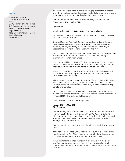# **SKILLS**

Adaptable thinking Change Management Focus COPC Framework knowledge Defining and achieving goals Building cohesive Teams Project Priorities Deep understanding of Contact Centre Industry Working Memory

Identified how to grow the business, leveraging international experts and where to place budget to research potential markets and provide appropriate exposure and most probable success rating.

Formed part of the Executive Team interacting with international influencers to grow the business.

#### **Operational**

Matched structure with business requirements of Clients.

Successfully transitioned 100% of staff for Client A to "Work from Home" prior to COVID-19 Lockdown.

Updated Business Continuity Processes and designed new Remote Working Policies covering use of Assets and Privacy requirements. Remotely managed changed processes and channel changes necessitated by extent of Pandemic within the USA.

Set up a new USA client during lock-down – all working from home and trained remotely. Once restrictions eased the Client changed requirements to Work from Office.

Sites had been kitted out with COVID screens and all protocols were in place to adhere to industry and government COVID Regulations. This enabled the transition of staff back to the office smoothly.

This led to a blended operation with a Work from Home component and Work from Office, dependent on Client requirements and COVID risk management protocols.

All the deliverables such as structure, ratios of staff to leadership, KPI's, reward and penalty tracking, glidepaths were monitored and met. Managed risk such as threat of COVID-19 by section, floor in building, per site and per client.

Set up a second site to minimize the risk and cater for the expansion the new business had created. Went live with the second site location in August 2020 whilst still in partial lockdown.

Grew this new business to 850 employees.

#### **January 2021 to May 2021 COPC Support**

Supported project to prepare for COPC Baseline Audit conducted in February 2021. This covered liaising with COPC Auditors, defining interview process, dates and times of the interviews, technical support. Attended interviews, feedback sessions and identified Leaders to undergo COPC accreditation.

Formed part of the project team to set up for Accreditation in March 2022.

Roz is not an accredited COPC implementor but has a sound working knowledge of the Four Pillars, the step change that can be achieved and the extent of the work required for implementation.

This understanding assisted the team in breaking down the steps, drawing up processes, communicating and arranging training to position the Operations, WFM, QA, Training and HR Teams initially for the Baseline Audit.